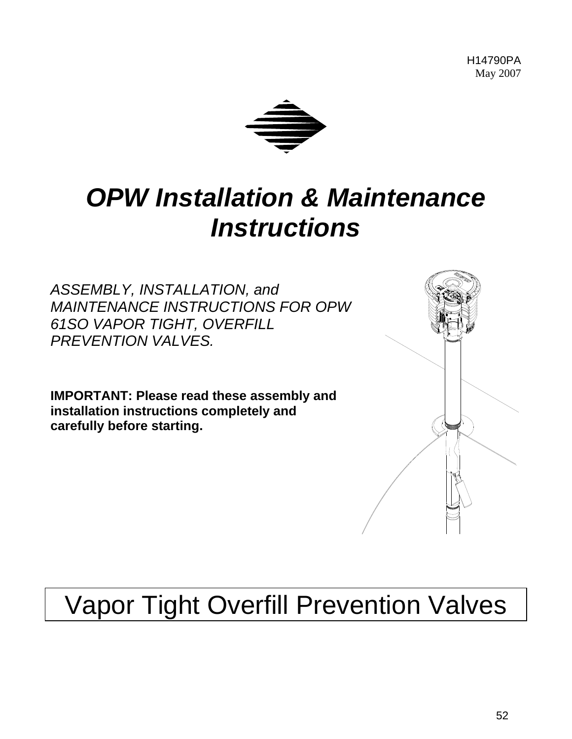H14790PA May 2007



# *OPW Installation & Maintenance Instruc tions*

*SSEMBLY, INSTALLATION, and A* **MAINTENANCE INSTRUCTIONS FOR OPW** *61SO VAPOR TIGHT, OVERFILL PREVENTION VALVES.* 

carefully before starting. **IMPORTANT: Please read these assembly and installation instructions completely and** 



# Vapor Tight Overfill Prevention Valves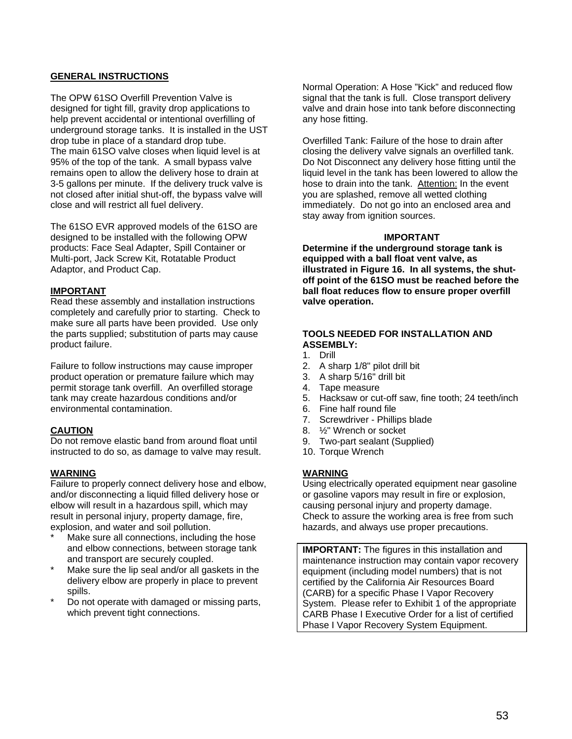# **GENERAL INSTRUCTIONS**

The OPW 61SO Overfill Prevention Valve is designed for tight fill, gravity drop applications to help prevent accidental or intentional overfilling of underground storage tanks. It is installed in the UST drop tube in place of a standard drop tube. The main 61SO valve closes when liquid level is at 95% of the top of the tank. A small bypass valve remains open to allow the delivery hose to drain at 3-5 gallons per minute. If the delivery truck valve is not closed after initial shut-off, the bypass valve will close and will restrict all fuel delivery.

The 61SO EVR approved models of the 61SO are designed to be installed with the following OPW products: Face Seal Adapter, Spill Container or Multi-port, Jack Screw Kit, Rotatable Product Adaptor, and Product Cap.

### **IMPORTANT**

Read these assembly and installation instructions completely and carefully prior to starting. Check to make sure all parts have been provided. Use only the parts supplied; substitution of parts may cause product failure.

Failure to follow instructions may cause improper product operation or premature failure which may permit storage tank overfill. An overfilled storage tank may create hazardous conditions and/or environmental contamination.

# **CAUTION**

Do not remove elastic band from around float until instructed to do so, as damage to valve may result.

### **WARNING**

Failure to properly connect delivery hose and elbow, and/or disconnecting a liquid filled delivery hose or elbow will result in a hazardous spill, which may result in personal injury, property damage, fire, explosion, and water and soil pollution.

- Make sure all connections, including the hose and elbow connections, between storage tank and transport are securely coupled.
- Make sure the lip seal and/or all gaskets in the delivery elbow are properly in place to prevent spills.
- Do not operate with damaged or missing parts, which prevent tight connections.

Normal Operation: A Hose "Kick" and reduced flow signal that the tank is full. Close transport delivery valve and drain hose into tank before disconnecting any hose fitting.

Overfilled Tank: Failure of the hose to drain after closing the delivery valve signals an overfilled tank. Do Not Disconnect any delivery hose fitting until the liquid level in the tank has been lowered to allow the hose to drain into the tank. Attention: In the event you are splashed, remove all wetted clothing immediately. Do not go into an enclosed area and stay away from ignition sources.

### **IMPORTANT**

**Determine if the underground storage tank is equipped with a ball float vent valve, as illustrated in Figure 16. In all systems, the shutoff point of the 61SO must be reached before the ball float reduces flow to ensure proper overfill valve operation.** 

# **TOOLS NEEDED FOR INSTALLATION AND ASSEMBLY:**

- 1. Drill
- 2. A sharp 1/8" pilot drill bit
- 3. A sharp 5/16" drill bit
- 4. Tape measure
- 5. Hacksaw or cut-off saw, fine tooth; 24 teeth/inch
- 6. Fine half round file
- 7. Screwdriver Phillips blade
- 8. ½" Wrench or socket
- 9. Two-part sealant (Supplied)
- 10. Torque Wrench

# **WARNING**

Using electrically operated equipment near gasoline or gasoline vapors may result in fire or explosion, causing personal injury and property damage. Check to assure the working area is free from such hazards, and always use proper precautions.

**IMPORTANT:** The figures in this installation and maintenance instruction may contain vapor recovery equipment (including model numbers) that is not certified by the California Air Resources Board (CARB) for a specific Phase I Vapor Recovery System. Please refer to Exhibit 1 of the appropriate CARB Phase I Executive Order for a list of certified Phase I Vapor Recovery System Equipment.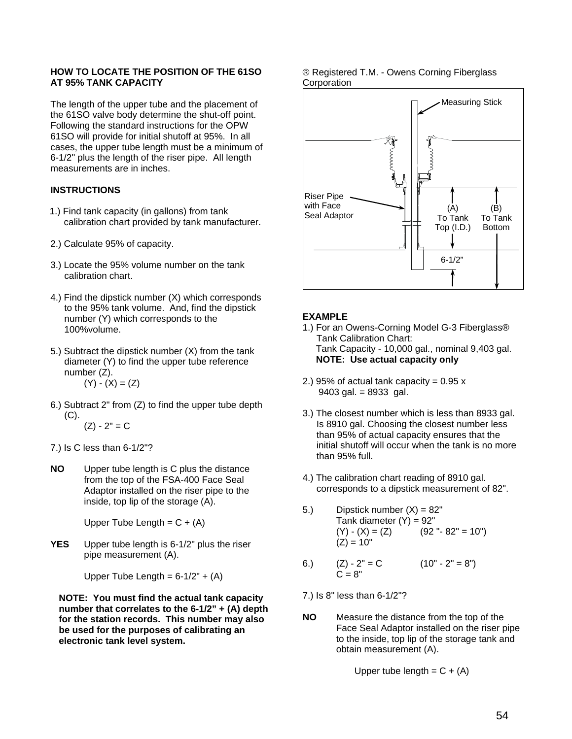### **HOW TO LOCATE THE POSITION OF THE 61SO AT 95% TANK CAPACITY**

The length of the upper tube and the placement of the 61SO valve body determine the shut-off point. Following the standard instructions for the OPW 61SO will provide for initial shutoff at 95%. In all cases, the upper tube length must be a minimum of 6-1/2" plus the length of the riser pipe. All length measurements are in inches.

# **INSTRUCTIONS**

- 1.) Find tank capacity (in gallons) from tank calibration chart provided by tank manufacturer.
- 2.) Calculate 95% of capacity.
- 3.) Locate the 95% volume number on the tank calibration chart.
- 4.) Find the dipstick number (X) which corresponds to the 95% tank volume. And, find the dipstick number (Y) which corresponds to the 100%volume.
- 5.) Subtract the dipstick number (X) from the tank diameter (Y) to find the upper tube reference number (Z).
	- $(Y) (X) = (Z)$
- 6.) Subtract 2" from (Z) to find the upper tube depth (C).  $(Z) - 2" = C$
- 7.) Is C less than 6-1/2"?
- **NO** Upper tube length is C plus the distance from the top of the FSA-400 Face Seal Adaptor installed on the riser pipe to the inside, top lip of the storage (A).

Upper Tube Length =  $C + (A)$ 

**YES** Upper tube length is 6-1/2" plus the riser pipe measurement (A).

Upper Tube Length =  $6-1/2" + (A)$ 

**NOTE: You must find the actual tank capacity number that correlates to the 6-1/2" + (A) depth for the station records. This number may also be used for the purposes of calibrating an electronic tank level system.** 

### ® Registered T.M. - Owens Corning Fiberglass **Corporation**



# **EXAMPLE**

- 1.) For an Owens-Corning Model G-3 Fiberglass® Tank Calibration Chart: Tank Capacity - 10,000 gal., nominal 9,403 gal. **NOTE: Use actual capacity only**
- 2.) 95% of actual tank capacity =  $0.95 x$ 9403 gal. = 8933 gal.
- 3.) The closest number which is less than 8933 gal. Is 8910 gal. Choosing the closest number less than 95% of actual capacity ensures that the initial shutoff will occur when the tank is no more than 95% full.
- 4.) The calibration chart reading of 8910 gal. corresponds to a dipstick measurement of 82".
- 5.) Dipstick number  $(X) = 82$ " Tank diameter  $(Y) = 92"$  $(Y) - (X) = (Z)$  (92" - 82" = 10")  $(Z) = 10"$
- 6.)  $(Z) 2" = C$   $(10" 2" = 8")$  $C = 8"$
- 7.) Is 8" less than 6-1/2"?
- **NO** Measure the distance from the top of the Face Seal Adaptor installed on the riser pipe to the inside, top lip of the storage tank and obtain measurement (A).

Upper tube length =  $C + (A)$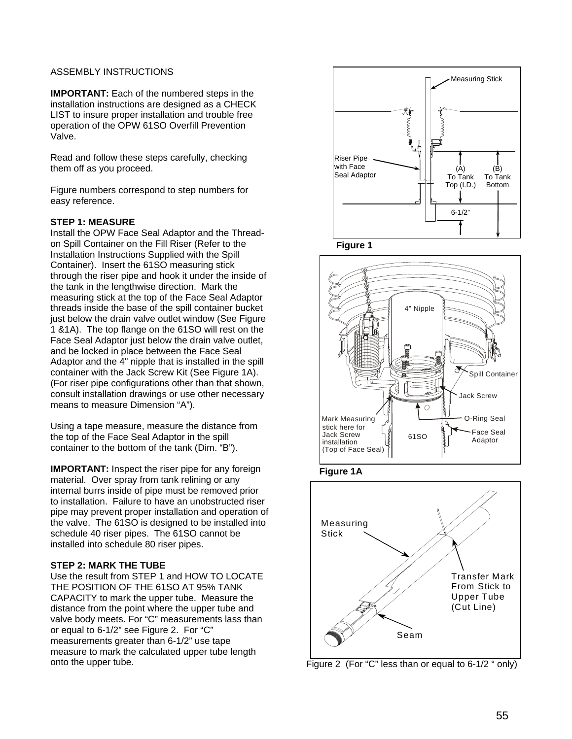# ASSEMBLY INSTRUCTIONS

**IMPORTANT:** Each of the numbered steps in the installation instructions are designed as a CHECK LIST to insure proper installation and trouble free operation of the OPW 61SO Overfill Prevention Valve.

Read and follow these steps carefully, checking them off as you proceed.

Figure numbers correspond to step numbers for easy reference.

## **STEP 1: MEASURE**

Install the OPW Face Seal Adaptor and the Threadon Spill Container on the Fill Riser (Refer to the Installation Instructions Supplied with the Spill Container). Insert the 61SO measuring stick through the riser pipe and hook it under the inside of the tank in the lengthwise direction. Mark the measuring stick at the top of the Face Seal Adaptor threads inside the base of the spill container bucket just below the drain valve outlet window (See Figure 1 &1A). The top flange on the 61SO will rest on the Face Seal Adaptor just below the drain valve outlet. and be locked in place between the Face Seal Adaptor and the 4" nipple that is installed in the spill container with the Jack Screw Kit (See Figure 1A). (For riser pipe configurations other than that shown, consult installation drawings or use other necessary means to measure Dimension "A").

Using a tape measure, measure the distance from the top of the Face Seal Adaptor in the spill container to the bottom of the tank (Dim. "B").

**IMPORTANT:** Inspect the riser pipe for any foreign material. Over spray from tank relining or any internal burrs inside of pipe must be removed prior to installation. Failure to have an unobstructed riser pipe may prevent proper installation and operation of the valve. The 61SO is designed to be installed into schedule 40 riser pipes. The 61SO cannot be installed into schedule 80 riser pipes.

### **STEP 2: MARK THE TUBE**

Use the result from STEP 1 and HOW TO LOCATE THE POSITION OF THE 61SO AT 95% TANK CAPACITY to mark the upper tube. Measure the distance from the point where the upper tube and valve body meets. For "C" measurements lass than or equal to 6-1/2" see Figure 2. For "C" measurements greater than 6-1/2" use tape measure to mark the calculated upper tube length onto the upper tube.







**Figure 1A** 



Figure 2 (For "C" less than or equal to 6-1/2 " only)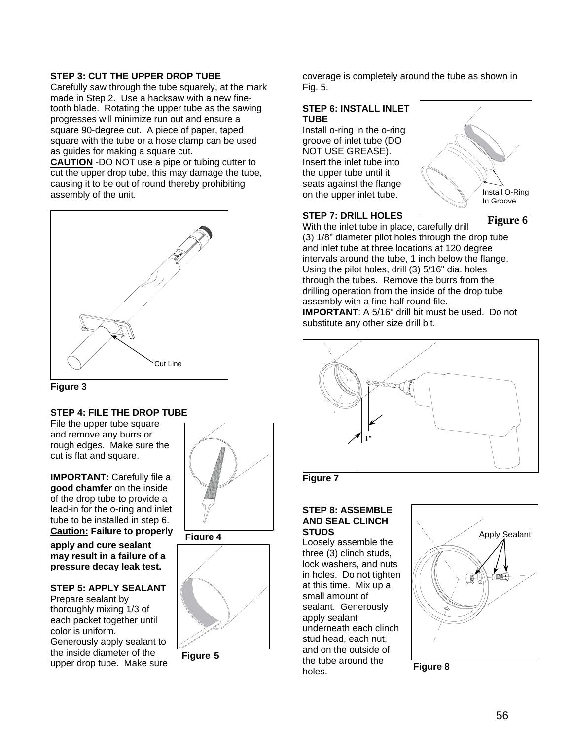# **STEP 3: CUT THE UPPER DROP TUBE**

Carefully saw through the tube squarely, at the mark made in Step 2. Use a hacksaw with a new finetooth blade. Rotating the upper tube as the sawing progresses will minimize run out and ensure a square 90-degree cut. A piece of paper, taped square with the tube or a hose clamp can be used as guides for making a square cut.

**CAUTION** -DO NOT use a pipe or tubing cutter to cut the upper drop tube, this may damage the tube, causing it to be out of round thereby prohibiting assembly of the unit.





# **STEP 4: FILE THE DROP TUBE**

File the upper tube square and remove any burrs or rough edges. Make sure the cut is flat and square.

**IMPORTANT:** Carefully file a **good chamfer** on the inside of the drop tube to provide a lead-in for the o-ring and inlet tube to be installed in step 6. **Caution: Failure to properly** 

**apply and cure sealant may result in a failure of a pressure decay leak test.** 

### **STEP 5: APPLY SEALANT**

Prepare sealant by thoroughly mixing 1/3 of each packet together until color is uniform. Generously apply sealant to the inside diameter of the upper drop tube. Make sure







**Figure 5**

coverage is completely around the tube as shown in Fig. 5.

## **STEP 6: INSTALL INLET TUBE**

Install o-ring in the o-ring groove of inlet tube (DO NOT USE GREASE). Insert the inlet tube into the upper tube until it seats against the flange on the upper inlet tube.



# **STEP 7: DRILL HOLES**

With the inlet tube in place, carefully drill (3) 1/8" diameter pilot holes through the drop tube and inlet tube at three locations at 120 degree intervals around the tube, 1 inch below the flange. Using the pilot holes, drill (3) 5/16" dia. holes through the tubes. Remove the burrs from the

drilling operation from the inside of the drop tube assembly with a fine half round file.

**IMPORTANT**: A 5/16" drill bit must be used. Do not substitute any other size drill bit.





# **STEP 8: ASSEMBLE AND SEAL CLINCH**

three (3) clinch studs, lock washers, and nuts in holes. Do not tighten at this time. Mix up a small amount of sealant. Generously apply sealant underneath each clinch stud head, each nut, and on the outside of the tube around the holes.



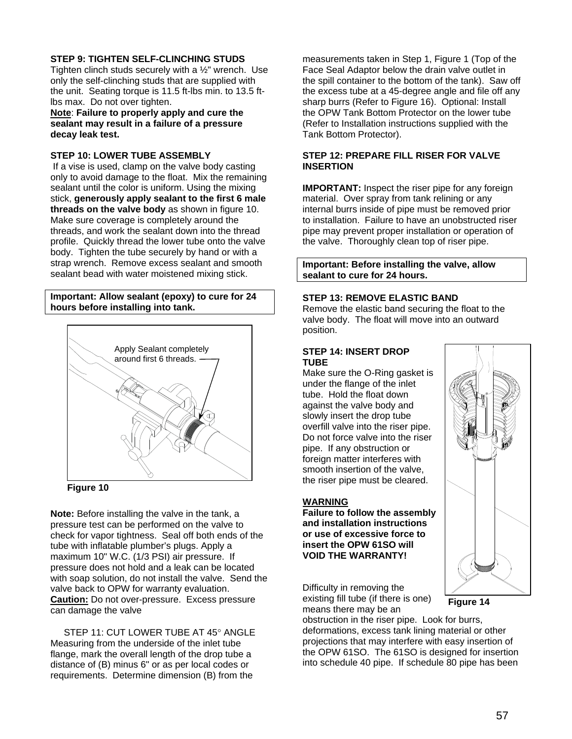# **STEP 9: TIGHTEN SELF-CLINCHING STUDS**

Tighten clinch studs securely with a ½" wrench. Use only the self-clinching studs that are supplied with the unit. Seating torque is 11.5 ft-lbs min. to 13.5 ftlbs max. Do not over tighten.

**Note**: **Failure to properly apply and cure the sealant may result in a failure of a pressure decay leak test.**

### **STEP 10: LOWER TUBE ASSEMBLY**

If a vise is used, clamp on the valve body casting only to avoid damage to the float. Mix the remaining sealant until the color is uniform. Using the mixing stick, **generously apply sealant to the first 6 male threads on the valve body** as shown in figure 10. Make sure coverage is completely around the threads, and work the sealant down into the thread profile. Quickly thread the lower tube onto the valve body. Tighten the tube securely by hand or with a strap wrench. Remove excess sealant and smooth sealant bead with water moistened mixing stick.

### **Important: Allow sealant (epoxy) to cure for 24 hours before installing into tank.**



**Figure 10** 

**Note:** Before installing the valve in the tank, a pressure test can be performed on the valve to check for vapor tightness. Seal off both ends of the tube with inflatable plumber's plugs. Apply a maximum 10" W.C. (1/3 PSI) air pressure. If pressure does not hold and a leak can be located with soap solution, do not install the valve. Send the valve back to OPW for warranty evaluation. **Caution:** Do not over-pressure. Excess pressure can damage the valve

STEP 11: CUT LOWER TUBE AT 45° ANGLE Measuring from the underside of the inlet tube flange, mark the overall length of the drop tube a distance of (B) minus 6" or as per local codes or requirements. Determine dimension (B) from the

measurements taken in Step 1, Figure 1 (Top of the Face Seal Adaptor below the drain valve outlet in the spill container to the bottom of the tank). Saw off the excess tube at a 45-degree angle and file off any sharp burrs (Refer to Figure 16). Optional: Install the OPW Tank Bottom Protector on the lower tube (Refer to Installation instructions supplied with the Tank Bottom Protector).

## **STEP 12: PREPARE FILL RISER FOR VALVE INSERTION**

**IMPORTANT:** Inspect the riser pipe for any foreign material. Over spray from tank relining or any internal burrs inside of pipe must be removed prior to installation. Failure to have an unobstructed riser pipe may prevent proper installation or operation of the valve. Thoroughly clean top of riser pipe.

### **Important: Before installing the valve, allow sealant to cure for 24 hours.**

# **STEP 13: REMOVE ELASTIC BAND**

Remove the elastic band securing the float to the valve body. The float will move into an outward position.

### **STEP 14: INSERT DROP TUBE**

Make sure the O-Ring gasket is under the flange of the inlet tube. Hold the float down against the valve body and slowly insert the drop tube overfill valve into the riser pipe. Do not force valve into the riser pipe. If any obstruction or foreign matter interferes with smooth insertion of the valve, the riser pipe must be cleared.

### **WARNING**

**Failure to follow the assembly and installation instructions or use of excessive force to insert the OPW 61SO will VOID THE WARRANTY!** 

Difficulty in removing the existing fill tube (if there is one) means there may be an

obstruction in the riser pipe. Look for burrs, deformations, excess tank lining material or other projections that may interfere with easy insertion of the OPW 61SO. The 61SO is designed for insertion into schedule 40 pipe. If schedule 80 pipe has been



**Figure 14**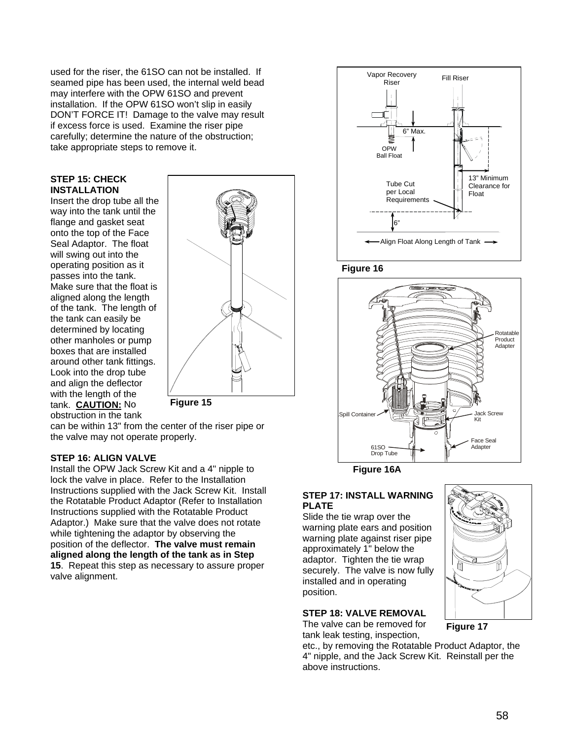used for the riser, the 61SO can not be installed. If seamed pipe has been used, the internal weld bead may interfere with the OPW 61SO and prevent installation. If the OPW 61SO won't slip in easily DON'T FORCE IT! Damage to the valve may result if excess force is used. Examine the riser pipe carefully; determine the nature of the obstruction; take appropriate steps to remove it.

### **STEP 15: CHECK INSTALLATION**

Insert the drop tube all the way into the tank until the flange and gasket seat onto the top of the Face Seal Adaptor. The float will swing out into the operating position as it passes into the tank. Make sure that the float is aligned along the length of the tank. The length of the tank can easily be determined by locating other manholes or pump boxes that are installed around other tank fittings. Look into the drop tube and align the deflector with the length of the tank. **CAUTION:** No obstruction in the tank



**Figure 15** 

can be within 13" from the center of the riser pipe or the valve may not operate properly.

# **STEP 16: ALIGN VALVE**

Install the OPW Jack Screw Kit and a 4" nipple to lock the valve in place. Refer to the Installation Instructions supplied with the Jack Screw Kit. Install the Rotatable Product Adaptor (Refer to Installation Instructions supplied with the Rotatable Product Adaptor.) Make sure that the valve does not rotate while tightening the adaptor by observing the position of the deflector. **The valve must remain aligned along the length of the tank as in Step 15**. Repeat this step as necessary to assure proper valve alignment.







**Figure 16A** 

# **STEP 17: INSTALL WARNING PLATE**

Slide the tie wrap over the warning plate ears and position warning plate against riser pipe approximately 1" below the adaptor. Tighten the tie wrap securely. The valve is now fully installed and in operating position.

# **STEP 18: VALVE REMOVAL**

The valve can be removed for tank leak testing, inspection,

**Figure 17**

etc., by removing the Rotatable Product Adaptor, the 4" nipple, and the Jack Screw Kit. Reinstall per the above instructions.

58